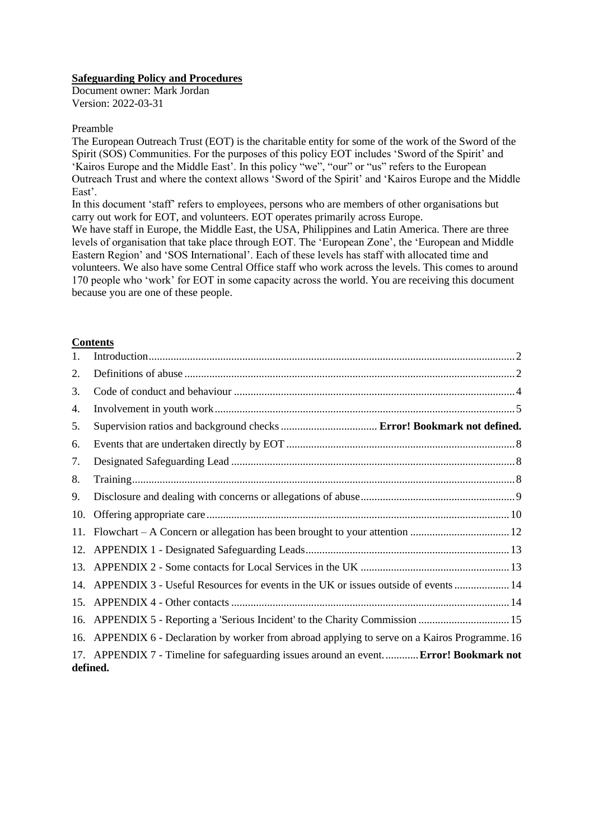#### **Safeguarding Policy and Procedures**

Document owner: Mark Jordan Version: 2022-03-31

#### Preamble

The European Outreach Trust (EOT) is the charitable entity for some of the work of the Sword of the Spirit (SOS) Communities. For the purposes of this policy EOT includes 'Sword of the Spirit' and 'Kairos Europe and the Middle East'. In this policy "we", "our" or "us" refers to the European Outreach Trust and where the context allows 'Sword of the Spirit' and 'Kairos Europe and the Middle East'.

In this document 'staff' refers to employees, persons who are members of other organisations but carry out work for EOT, and volunteers. EOT operates primarily across Europe.

We have staff in Europe, the Middle East, the USA, Philippines and Latin America. There are three levels of organisation that take place through EOT. The 'European Zone', the 'European and Middle Eastern Region' and 'SOS International'. Each of these levels has staff with allocated time and volunteers. We also have some Central Office staff who work across the levels. This comes to around 170 people who 'work' for EOT in some capacity across the world. You are receiving this document because you are one of these people.

#### **Contents**

| 1.  |                                                                                                   |  |
|-----|---------------------------------------------------------------------------------------------------|--|
| 2.  |                                                                                                   |  |
| 3.  |                                                                                                   |  |
| 4.  |                                                                                                   |  |
| 5.  |                                                                                                   |  |
| 6.  |                                                                                                   |  |
| 7.  |                                                                                                   |  |
| 8.  |                                                                                                   |  |
| 9.  |                                                                                                   |  |
| 10. |                                                                                                   |  |
| 11. |                                                                                                   |  |
|     |                                                                                                   |  |
|     |                                                                                                   |  |
|     | 14. APPENDIX 3 - Useful Resources for events in the UK or issues outside of events  14            |  |
|     |                                                                                                   |  |
| 16. | APPENDIX 5 - Reporting a 'Serious Incident' to the Charity Commission  15                         |  |
| 16. | APPENDIX 6 - Declaration by worker from abroad applying to serve on a Kairos Programme. 16        |  |
|     | 17. APPENDIX 7 - Timeline for safeguarding issues around an event Error! Bookmark not<br>defined. |  |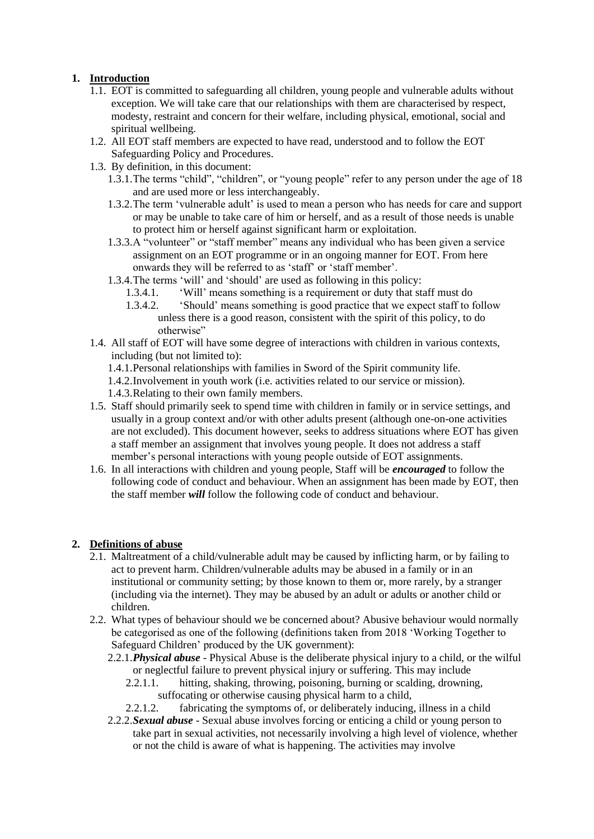# <span id="page-1-0"></span>**1. Introduction**

- 1.1. EOT is committed to safeguarding all children, young people and vulnerable adults without exception. We will take care that our relationships with them are characterised by respect, modesty, restraint and concern for their welfare, including physical, emotional, social and spiritual wellbeing.
- 1.2. All EOT staff members are expected to have read, understood and to follow the EOT Safeguarding Policy and Procedures.
- 1.3. By definition, in this document:
	- 1.3.1.The terms "child", "children", or "young people" refer to any person under the age of 18 and are used more or less interchangeably.
	- 1.3.2.The term 'vulnerable adult' is used to mean a person who has needs for care and support or may be unable to take care of him or herself, and as a result of those needs is unable to protect him or herself against significant harm or exploitation.
	- 1.3.3.A "volunteer" or "staff member" means any individual who has been given a service assignment on an EOT programme or in an ongoing manner for EOT. From here onwards they will be referred to as 'staff' or 'staff member'.
	- 1.3.4.The terms 'will' and 'should' are used as following in this policy:
		- 1.3.4.1. 'Will' means something is a requirement or duty that staff must do
		- 1.3.4.2. 'Should' means something is good practice that we expect staff to follow unless there is a good reason, consistent with the spirit of this policy, to do otherwise"
- 1.4. All staff of EOT will have some degree of interactions with children in various contexts, including (but not limited to):
	- 1.4.1.Personal relationships with families in Sword of the Spirit community life.
	- 1.4.2.Involvement in youth work (i.e. activities related to our service or mission).
	- 1.4.3.Relating to their own family members.
- 1.5. Staff should primarily seek to spend time with children in family or in service settings, and usually in a group context and/or with other adults present (although one-on-one activities are not excluded). This document however, seeks to address situations where EOT has given a staff member an assignment that involves young people. It does not address a staff member's personal interactions with young people outside of EOT assignments.
- 1.6. In all interactions with children and young people, Staff will be *encouraged* to follow the following code of conduct and behaviour. When an assignment has been made by EOT, then the staff member *will* follow the following code of conduct and behaviour.

# <span id="page-1-1"></span>**2. Definitions of abuse**

- 2.1. Maltreatment of a child/vulnerable adult may be caused by inflicting harm, or by failing to act to prevent harm. Children/vulnerable adults may be abused in a family or in an institutional or community setting; by those known to them or, more rarely, by a stranger (including via the internet). They may be abused by an adult or adults or another child or children.
- 2.2. What types of behaviour should we be concerned about? Abusive behaviour would normally be categorised as one of the following (definitions taken from 2018 'Working Together to Safeguard Children' produced by the UK government):
	- 2.2.1.*Physical abuse* Physical Abuse is the deliberate physical injury to a child, or the wilful or neglectful failure to prevent physical injury or suffering. This may include
		- 2.2.1.1. hitting, shaking, throwing, poisoning, burning or scalding, drowning, suffocating or otherwise causing physical harm to a child,
		- 2.2.1.2. fabricating the symptoms of, or deliberately inducing, illness in a child
	- 2.2.2.*Sexual abuse* Sexual abuse involves forcing or enticing a child or young person to take part in sexual activities, not necessarily involving a high level of violence, whether or not the child is aware of what is happening. The activities may involve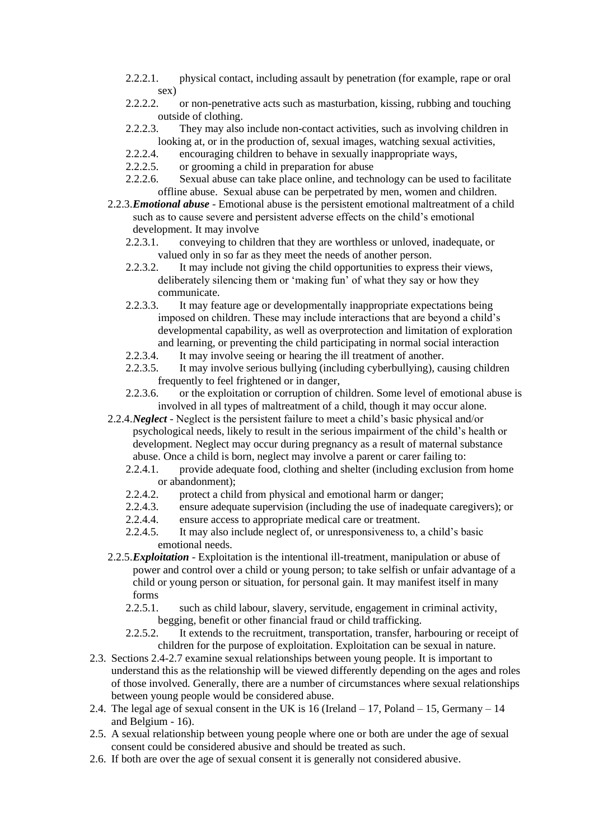- 2.2.2.1. physical contact, including assault by penetration (for example, rape or oral sex)
- 2.2.2.2. or non-penetrative acts such as masturbation, kissing, rubbing and touching outside of clothing.
- 2.2.2.3. They may also include non-contact activities, such as involving children in looking at, or in the production of, sexual images, watching sexual activities,
- 2.2.2.4. encouraging children to behave in sexually inappropriate ways,
- 2.2.2.5. or grooming a child in preparation for abuse
- 2.2.2.6. Sexual abuse can take place online, and technology can be used to facilitate offline abuse. Sexual abuse can be perpetrated by men, women and children.
- 2.2.3.*Emotional abuse* Emotional abuse is the persistent emotional maltreatment of a child such as to cause severe and persistent adverse effects on the child's emotional development. It may involve
	- 2.2.3.1. conveying to children that they are worthless or unloved, inadequate, or valued only in so far as they meet the needs of another person.
	- 2.2.3.2. It may include not giving the child opportunities to express their views, deliberately silencing them or 'making fun' of what they say or how they communicate.
	- 2.2.3.3. It may feature age or developmentally inappropriate expectations being imposed on children. These may include interactions that are beyond a child's developmental capability, as well as overprotection and limitation of exploration and learning, or preventing the child participating in normal social interaction
	- 2.2.3.4. It may involve seeing or hearing the ill treatment of another.
	- 2.2.3.5. It may involve serious bullying (including cyberbullying), causing children frequently to feel frightened or in danger,
	- 2.2.3.6. or the exploitation or corruption of children. Some level of emotional abuse is involved in all types of maltreatment of a child, though it may occur alone.

2.2.4.*Neglect* - Neglect is the persistent failure to meet a child's basic physical and/or psychological needs, likely to result in the serious impairment of the child's health or development. Neglect may occur during pregnancy as a result of maternal substance abuse. Once a child is born, neglect may involve a parent or carer failing to:

- 2.2.4.1. provide adequate food, clothing and shelter (including exclusion from home or abandonment);
- 2.2.4.2. protect a child from physical and emotional harm or danger;
- 2.2.4.3. ensure adequate supervision (including the use of inadequate caregivers); or
- 2.2.4.4. ensure access to appropriate medical care or treatment.
- 2.2.4.5. It may also include neglect of, or unresponsiveness to, a child's basic emotional needs.
- 2.2.5.*Exploitation* Exploitation is the intentional ill-treatment, manipulation or abuse of power and control over a child or young person; to take selfish or unfair advantage of a child or young person or situation, for personal gain. It may manifest itself in many forms
	- 2.2.5.1. such as child labour, slavery, servitude, engagement in criminal activity, begging, benefit or other financial fraud or child trafficking.
	- 2.2.5.2. It extends to the recruitment, transportation, transfer, harbouring or receipt of children for the purpose of exploitation. Exploitation can be sexual in nature.
- 2.3. Sections 2.4-2.7 examine sexual relationships between young people. It is important to understand this as the relationship will be viewed differently depending on the ages and roles of those involved. Generally, there are a number of circumstances where sexual relationships between young people would be considered abuse.
- 2.4. The legal age of sexual consent in the UK is 16 (Ireland 17, Poland 15, Germany 14 and Belgium - 16).
- 2.5. A sexual relationship between young people where one or both are under the age of sexual consent could be considered abusive and should be treated as such.
- 2.6. If both are over the age of sexual consent it is generally not considered abusive.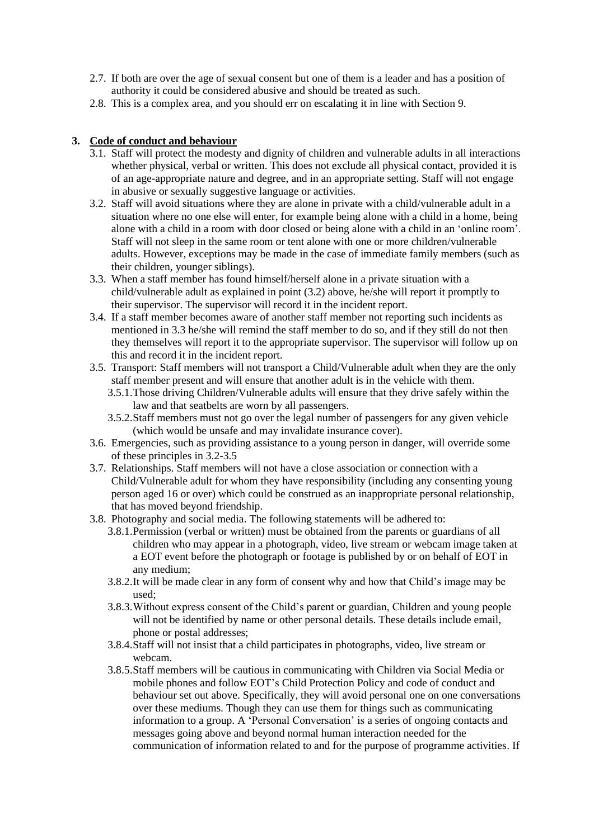- 2.7. If both are over the age of sexual consent but one of them is a leader and has a position of authority it could be considered abusive and should be treated as such.
- 2.8. This is a complex area, and you should err on escalating it in line with Section 9.

# <span id="page-3-0"></span>**3. Code of conduct and behaviour**

- 3.1. Staff will protect the modesty and dignity of children and vulnerable adults in all interactions whether physical, verbal or written. This does not exclude all physical contact, provided it is of an age-appropriate nature and degree, and in an appropriate setting. Staff will not engage in abusive or sexually suggestive language or activities.
- <span id="page-3-1"></span>3.2. Staff will avoid situations where they are alone in private with a child/vulnerable adult in a situation where no one else will enter, for example being alone with a child in a home, being alone with a child in a room with door closed or being alone with a child in an 'online room'. Staff will not sleep in the same room or tent alone with one or more children/vulnerable adults. However, exceptions may be made in the case of immediate family members (such as their children, younger siblings).
- 3.3. When a staff member has found himself/herself alone in a private situation with a child/vulnerable adult as explained in point (3.2) above, he/she will report it promptly to their supervisor. The supervisor will record it in the incident report.
- 3.4. If a staff member becomes aware of another staff member not reporting such incidents as mentioned in 3.3 he/she will remind the staff member to do so, and if they still do not then they themselves will report it to the appropriate supervisor. The supervisor will follow up on this and record it in the incident report.
- 3.5. Transport: Staff members will not transport a Child/Vulnerable adult when they are the only staff member present and will ensure that another adult is in the vehicle with them.
	- 3.5.1.Those driving Children/Vulnerable adults will ensure that they drive safely within the law and that seatbelts are worn by all passengers.
	- 3.5.2.Staff members must not go over the legal number of passengers for any given vehicle (which would be unsafe and may invalidate insurance cover).
- 3.6. Emergencies, such as providing assistance to a young person in danger, will override some of these principles in 3.2-3.5
- 3.7. Relationships. Staff members will not have a close association or connection with a Child/Vulnerable adult for whom they have responsibility (including any consenting young person aged 16 or over) which could be construed as an inappropriate personal relationship, that has moved beyond friendship.
- 3.8. Photography and social media. The following statements will be adhered to:
	- 3.8.1.Permission (verbal or written) must be obtained from the parents or guardians of all children who may appear in a photograph, video, live stream or webcam image taken at a EOT event before the photograph or footage is published by or on behalf of EOT in any medium;
	- 3.8.2.It will be made clear in any form of consent why and how that Child's image may be used;
	- 3.8.3.Without express consent of the Child's parent or guardian, Children and young people will not be identified by name or other personal details. These details include email, phone or postal addresses;
	- 3.8.4.Staff will not insist that a child participates in photographs, video, live stream or webcam.
	- 3.8.5.Staff members will be cautious in communicating with Children via Social Media or mobile phones and follow EOT's Child Protection Policy and code of conduct and behaviour set out above. Specifically, they will avoid personal one on one conversations over these mediums. Though they can use them for things such as communicating information to a group. A 'Personal Conversation' is a series of ongoing contacts and messages going above and beyond normal human interaction needed for the communication of information related to and for the purpose of programme activities. If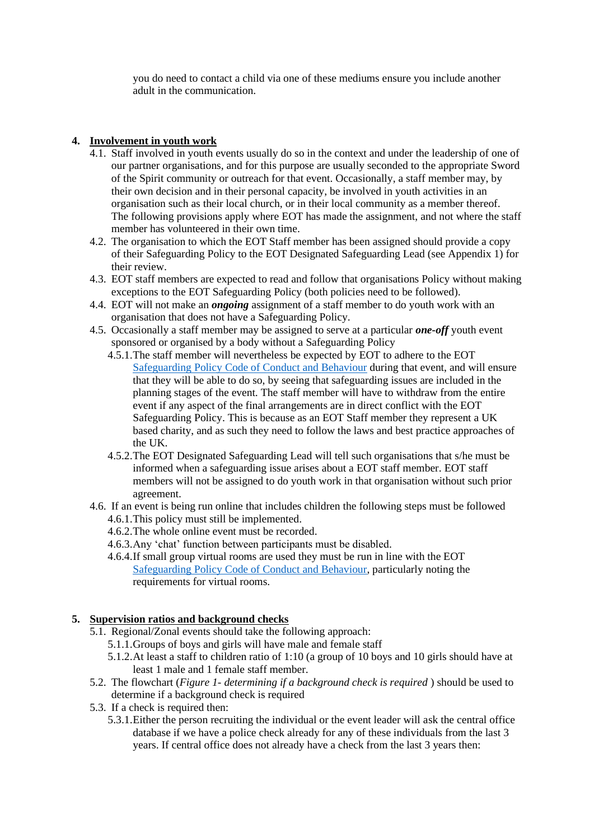you do need to contact a child via one of these mediums ensure you include another adult in the communication.

# <span id="page-4-0"></span>**4. Involvement in youth work**

- 4.1. Staff involved in youth events usually do so in the context and under the leadership of one of our partner organisations, and for this purpose are usually seconded to the appropriate Sword of the Spirit community or outreach for that event. Occasionally, a staff member may, by their own decision and in their personal capacity, be involved in youth activities in an organisation such as their local church, or in their local community as a member thereof. The following provisions apply where EOT has made the assignment, and not where the staff member has volunteered in their own time.
- 4.2. The organisation to which the EOT Staff member has been assigned should provide a copy of their Safeguarding Policy to the EOT Designated Safeguarding Lead (see Appendix 1) for their review.
- 4.3. EOT staff members are expected to read and follow that organisations Policy without making exceptions to the EOT Safeguarding Policy (both policies need to be followed).
- 4.4. EOT will not make an *ongoing* assignment of a staff member to do youth work with an organisation that does not have a Safeguarding Policy.
- 4.5. Occasionally a staff member may be assigned to serve at a particular *one-off* youth event sponsored or organised by a body without a Safeguarding Policy
	- 4.5.1.The staff member will nevertheless be expected by EOT to adhere to the EOT Safeguarding Policy [Code of Conduct and Behaviour](#page-3-0) during that event, and will ensure that they will be able to do so, by seeing that safeguarding issues are included in the planning stages of the event. The staff member will have to withdraw from the entire event if any aspect of the final arrangements are in direct conflict with the EOT Safeguarding Policy. This is because as an EOT Staff member they represent a UK based charity, and as such they need to follow the laws and best practice approaches of the UK.
	- 4.5.2.The EOT Designated Safeguarding Lead will tell such organisations that s/he must be informed when a safeguarding issue arises about a EOT staff member. EOT staff members will not be assigned to do youth work in that organisation without such prior agreement.
- 4.6. If an event is being run online that includes children the following steps must be followed 4.6.1.This policy must still be implemented.
	- 4.6.2.The whole online event must be recorded.
	- 4.6.3.Any 'chat' function between participants must be disabled.
	- 4.6.4.If small group virtual rooms are used they must be run in line with the EOT [Safeguarding Policy Code of Conduct and Behaviour,](#page-3-0) particularly noting the requirements for virtual rooms.

# **5. Supervision ratios and background checks**

- 5.1. Regional/Zonal events should take the following approach:
	- 5.1.1.Groups of boys and girls will have male and female staff
	- 5.1.2.At least a staff to children ratio of 1:10 (a group of 10 boys and 10 girls should have at least 1 male and 1 female staff member.
- 5.2. The flowchart (*Figure 1- determining if a background check is required* ) should be used to determine if a background check is required
- 5.3. If a check is required then:
	- 5.3.1.Either the person recruiting the individual or the event leader will ask the central office database if we have a police check already for any of these individuals from the last 3 years. If central office does not already have a check from the last 3 years then: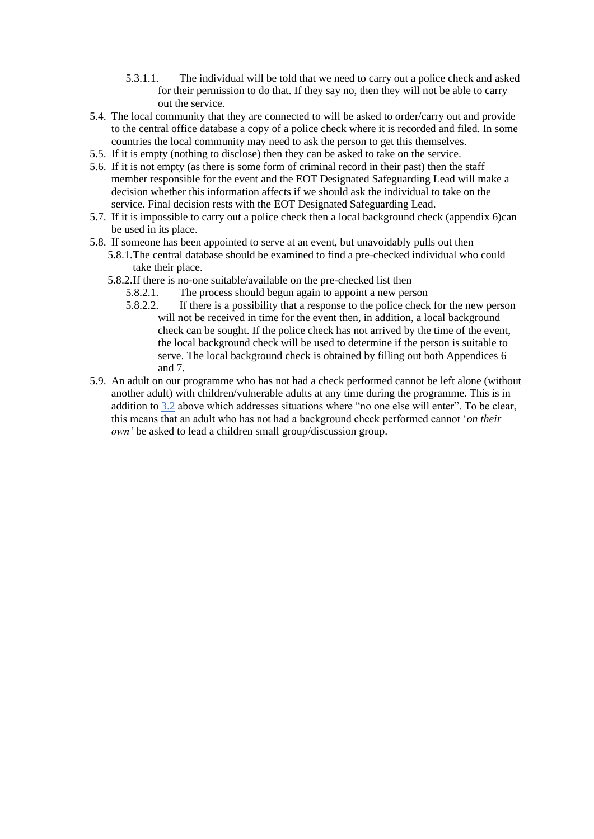- 5.3.1.1. The individual will be told that we need to carry out a police check and asked for their permission to do that. If they say no, then they will not be able to carry out the service.
- 5.4. The local community that they are connected to will be asked to order/carry out and provide to the central office database a copy of a police check where it is recorded and filed. In some countries the local community may need to ask the person to get this themselves.
- 5.5. If it is empty (nothing to disclose) then they can be asked to take on the service.
- 5.6. If it is not empty (as there is some form of criminal record in their past) then the staff member responsible for the event and the EOT Designated Safeguarding Lead will make a decision whether this information affects if we should ask the individual to take on the service. Final decision rests with the EOT Designated Safeguarding Lead.
- 5.7. If it is impossible to carry out a police check then a local background check (appendix 6)can be used in its place.
- 5.8. If someone has been appointed to serve at an event, but unavoidably pulls out then
	- 5.8.1.The central database should be examined to find a pre-checked individual who could take their place.
		- 5.8.2.If there is no-one suitable/available on the pre-checked list then
			- 5.8.2.1. The process should begun again to appoint a new person
			- 5.8.2.2. If there is a possibility that a response to the police check for the new person will not be received in time for the event then, in addition, a local background check can be sought. If the police check has not arrived by the time of the event, the local background check will be used to determine if the person is suitable to serve. The local background check is obtained by filling out both Appendices 6 and 7.
- 5.9. An adult on our programme who has not had a check performed cannot be left alone (without another adult) with children/vulnerable adults at any time during the programme. This is in addition t[o 3.2](#page-3-1) above which addresses situations where "no one else will enter". To be clear, this means that an adult who has not had a background check performed cannot '*on their own'* be asked to lead a children small group/discussion group.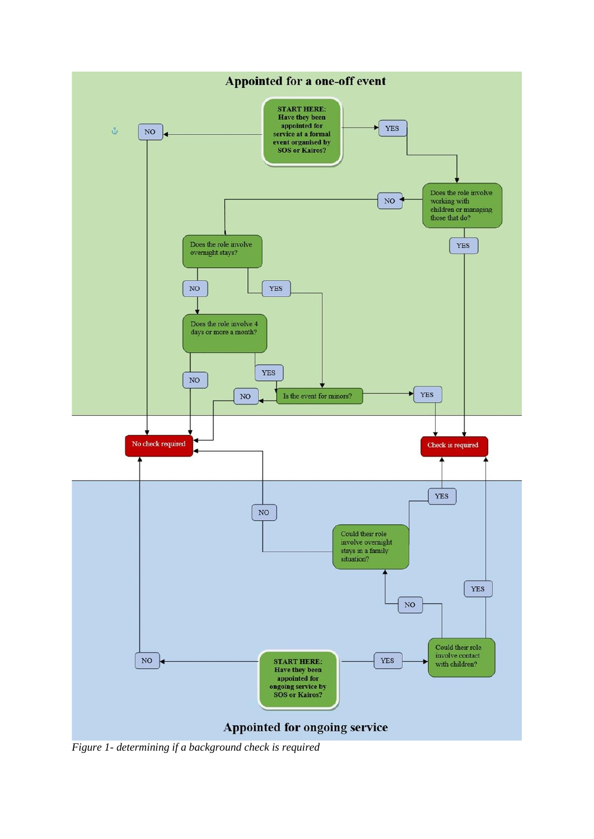

*Figure 1- determining if a background check is required*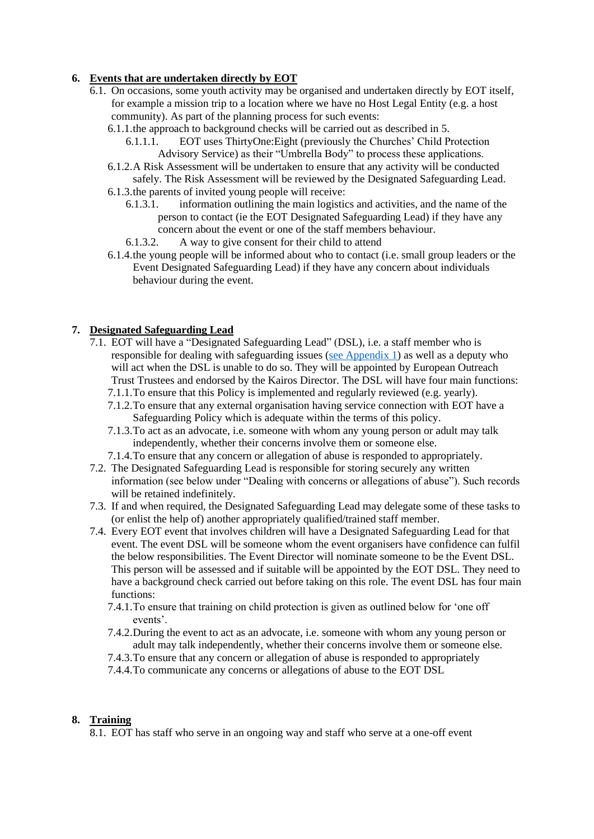## <span id="page-7-0"></span>**6. Events that are undertaken directly by EOT**

- 6.1. On occasions, some youth activity may be organised and undertaken directly by EOT itself, for example a mission trip to a location where we have no Host Legal Entity (e.g. a host community). As part of the planning process for such events:
	- 6.1.1.the approach to background checks will be carried out as described in 5.
		- 6.1.1.1. EOT uses ThirtyOne:Eight (previously the Churches' Child Protection Advisory Service) as their "Umbrella Body" to process these applications.
	- 6.1.2.A Risk Assessment will be undertaken to ensure that any activity will be conducted safely. The Risk Assessment will be reviewed by the Designated Safeguarding Lead.
	- 6.1.3.the parents of invited young people will receive:
		- 6.1.3.1. information outlining the main logistics and activities, and the name of the person to contact (ie the EOT Designated Safeguarding Lead) if they have any concern about the event or one of the staff members behaviour.
		- 6.1.3.2. A way to give consent for their child to attend
	- 6.1.4.the young people will be informed about who to contact (i.e. small group leaders or the Event Designated Safeguarding Lead) if they have any concern about individuals behaviour during the event.

# <span id="page-7-1"></span>**7. Designated Safeguarding Lead**

- 7.1. EOT will have a "Designated Safeguarding Lead" (DSL), i.e. a staff member who is responsible for dealing with safeguarding issues [\(see Appendix 1\)](#page-12-0) as well as a deputy who will act when the DSL is unable to do so. They will be appointed by European Outreach Trust Trustees and endorsed by the Kairos Director. The DSL will have four main functions:
	- 7.1.1.To ensure that this Policy is implemented and regularly reviewed (e.g. yearly).
	- 7.1.2.To ensure that any external organisation having service connection with EOT have a Safeguarding Policy which is adequate within the terms of this policy.
	- 7.1.3.To act as an advocate, i.e. someone with whom any young person or adult may talk independently, whether their concerns involve them or someone else.
	- 7.1.4.To ensure that any concern or allegation of abuse is responded to appropriately.
- 7.2. The Designated Safeguarding Lead is responsible for storing securely any written information (see below under "Dealing with concerns or allegations of abuse"). Such records will be retained indefinitely.
- 7.3. If and when required, the Designated Safeguarding Lead may delegate some of these tasks to (or enlist the help of) another appropriately qualified/trained staff member.
- 7.4. Every EOT event that involves children will have a Designated Safeguarding Lead for that event. The event DSL will be someone whom the event organisers have confidence can fulfil the below responsibilities. The Event Director will nominate someone to be the Event DSL. This person will be assessed and if suitable will be appointed by the EOT DSL. They need to have a background check carried out before taking on this role. The event DSL has four main functions:
	- 7.4.1.To ensure that training on child protection is given as outlined below for 'one off events'.
	- 7.4.2.During the event to act as an advocate, i.e. someone with whom any young person or adult may talk independently, whether their concerns involve them or someone else.
	- 7.4.3.To ensure that any concern or allegation of abuse is responded to appropriately
	- 7.4.4.To communicate any concerns or allegations of abuse to the EOT DSL

#### <span id="page-7-2"></span>**8. Training**

8.1. EOT has staff who serve in an ongoing way and staff who serve at a one-off event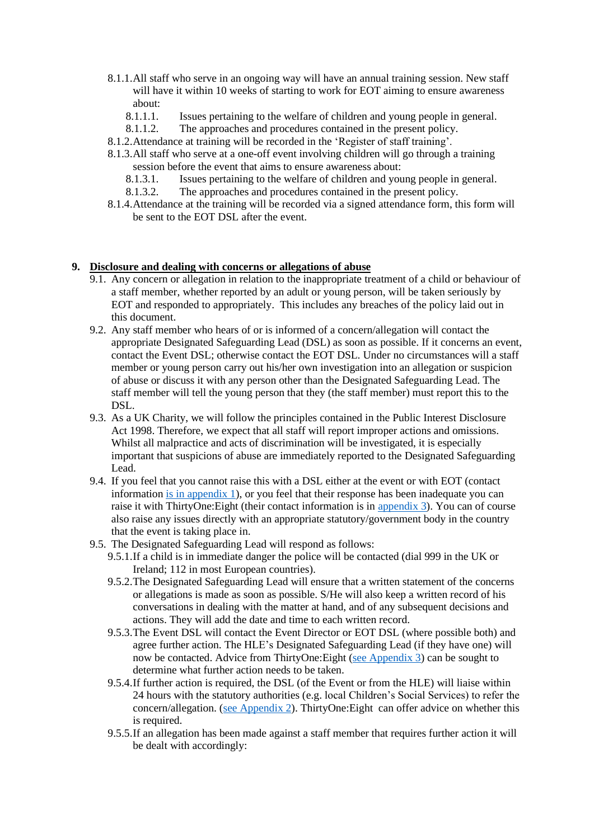- 8.1.1.All staff who serve in an ongoing way will have an annual training session. New staff will have it within 10 weeks of starting to work for EOT aiming to ensure awareness about:
	- 8.1.1.1. Issues pertaining to the welfare of children and young people in general.
	- 8.1.1.2. The approaches and procedures contained in the present policy.
- 8.1.2.Attendance at training will be recorded in the 'Register of staff training'.
- 8.1.3.All staff who serve at a one-off event involving children will go through a training session before the event that aims to ensure awareness about:
	- 8.1.3.1. Issues pertaining to the welfare of children and young people in general.
	- 8.1.3.2. The approaches and procedures contained in the present policy.
- 8.1.4.Attendance at the training will be recorded via a signed attendance form, this form will be sent to the EOT DSL after the event.

#### <span id="page-8-0"></span>**9. Disclosure and dealing with concerns or allegations of abuse**

- 9.1. Any concern or allegation in relation to the inappropriate treatment of a child or behaviour of a staff member, whether reported by an adult or young person, will be taken seriously by EOT and responded to appropriately. This includes any breaches of the policy laid out in this document.
- 9.2. Any staff member who hears of or is informed of a concern/allegation will contact the appropriate Designated Safeguarding Lead (DSL) as soon as possible. If it concerns an event, contact the Event DSL; otherwise contact the EOT DSL. Under no circumstances will a staff member or young person carry out his/her own investigation into an allegation or suspicion of abuse or discuss it with any person other than the Designated Safeguarding Lead. The staff member will tell the young person that they (the staff member) must report this to the DSL.
- 9.3. As a UK Charity, we will follow the principles contained in the Public Interest Disclosure Act 1998. Therefore, we expect that all staff will report improper actions and omissions. Whilst all malpractice and acts of discrimination will be investigated, it is especially important that suspicions of abuse are immediately reported to the Designated Safeguarding Lead.
- 9.4. If you feel that you cannot raise this with a DSL either at the event or with EOT (contact information [is in appendix 1\)](#page-12-0), or you feel that their response has been inadequate you can raise it with ThirtyOne:Eight (their contact information is in [appendix 3\)](#page-13-0). You can of course also raise any issues directly with an appropriate statutory/government body in the country that the event is taking place in.
- 9.5. The Designated Safeguarding Lead will respond as follows:
	- 9.5.1.If a child is in immediate danger the police will be contacted (dial 999 in the UK or Ireland; 112 in most European countries).
	- 9.5.2.The Designated Safeguarding Lead will ensure that a written statement of the concerns or allegations is made as soon as possible. S/He will also keep a written record of his conversations in dealing with the matter at hand, and of any subsequent decisions and actions. They will add the date and time to each written record.
	- 9.5.3.The Event DSL will contact the Event Director or EOT DSL (where possible both) and agree further action. The HLE's Designated Safeguarding Lead (if they have one) will now be contacted. Advice from ThirtyOne:Eight [\(see Appendix 3\)](#page-13-0) can be sought to determine what further action needs to be taken.
	- 9.5.4.If further action is required, the DSL (of the Event or from the HLE) will liaise within 24 hours with the statutory authorities (e.g. local Children's Social Services) to refer the concern/allegation. [\(see Appendix 2\)](#page-12-1). ThirtyOne:Eight can offer advice on whether this is required.
	- 9.5.5.If an allegation has been made against a staff member that requires further action it will be dealt with accordingly: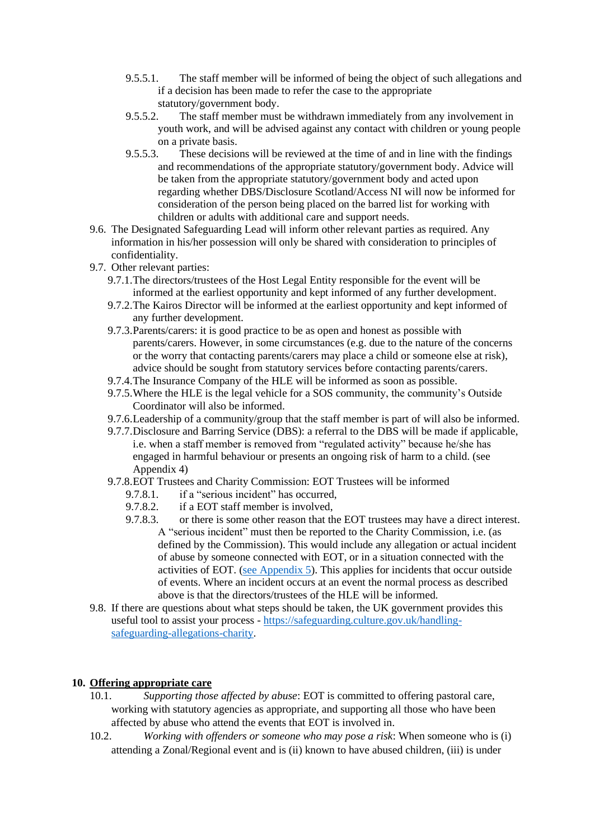- 9.5.5.1. The staff member will be informed of being the object of such allegations and if a decision has been made to refer the case to the appropriate statutory/government body.
- 9.5.5.2. The staff member must be withdrawn immediately from any involvement in youth work, and will be advised against any contact with children or young people on a private basis.
- 9.5.5.3. These decisions will be reviewed at the time of and in line with the findings and recommendations of the appropriate statutory/government body. Advice will be taken from the appropriate statutory/government body and acted upon regarding whether DBS/Disclosure Scotland/Access NI will now be informed for consideration of the person being placed on the barred list for working with children or adults with additional care and support needs.
- 9.6. The Designated Safeguarding Lead will inform other relevant parties as required. Any information in his/her possession will only be shared with consideration to principles of confidentiality.
- 9.7. Other relevant parties:
	- 9.7.1.The directors/trustees of the Host Legal Entity responsible for the event will be informed at the earliest opportunity and kept informed of any further development.
	- 9.7.2.The Kairos Director will be informed at the earliest opportunity and kept informed of any further development.
	- 9.7.3.Parents/carers: it is good practice to be as open and honest as possible with parents/carers. However, in some circumstances (e.g. due to the nature of the concerns or the worry that contacting parents/carers may place a child or someone else at risk), advice should be sought from statutory services before contacting parents/carers.
	- 9.7.4.The Insurance Company of the HLE will be informed as soon as possible.
	- 9.7.5.Where the HLE is the legal vehicle for a SOS community, the community's Outside Coordinator will also be informed.
	- 9.7.6.Leadership of a community/group that the staff member is part of will also be informed.
	- 9.7.7.Disclosure and Barring Service (DBS): a referral to the DBS will be made if applicable, i.e. when a staff member is removed from "regulated activity" because he/she has engaged in harmful behaviour or presents an ongoing risk of harm to a child. (see Appendix 4)
	- 9.7.8.EOT Trustees and Charity Commission: EOT Trustees will be informed
		- 9.7.8.1. if a "serious incident" has occurred,
		- 9.7.8.2. if a EOT staff member is involved,
		- 9.7.8.3. or there is some other reason that the EOT trustees may have a direct interest. A "serious incident" must then be reported to the Charity Commission, i.e. (as defined by the Commission). This would include any allegation or actual incident of abuse by someone connected with EOT, or in a situation connected with the activities of EOT. [\(see Appendix 5\)](#page-14-0). This applies for incidents that occur outside of events. Where an incident occurs at an event the normal process as described above is that the directors/trustees of the HLE will be informed.
- 9.8. If there are questions about what steps should be taken, the UK government provides this useful tool to assist your process - [https://safeguarding.culture.gov.uk/handling](https://safeguarding.culture.gov.uk/handling-safeguarding-allegations-charity)[safeguarding-allegations-charity.](https://safeguarding.culture.gov.uk/handling-safeguarding-allegations-charity)

# <span id="page-9-0"></span>**10. Offering appropriate care**

- 10.1. *Supporting those affected by abuse*: EOT is committed to offering pastoral care, working with statutory agencies as appropriate, and supporting all those who have been affected by abuse who attend the events that EOT is involved in.
- 10.2. *Working with offenders or someone who may pose a risk*: When someone who is (i) attending a Zonal/Regional event and is (ii) known to have abused children, (iii) is under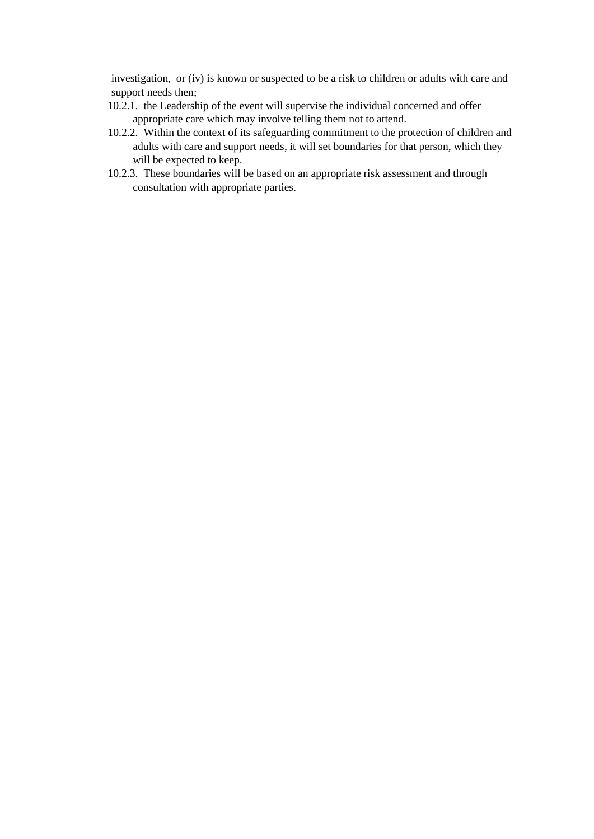investigation, or (iv) is known or suspected to be a risk to children or adults with care and support needs then;

- 10.2.1. the Leadership of the event will supervise the individual concerned and offer appropriate care which may involve telling them not to attend.
- 10.2.2. Within the context of its safeguarding commitment to the protection of children and adults with care and support needs, it will set boundaries for that person, which they will be expected to keep.
- 10.2.3. These boundaries will be based on an appropriate risk assessment and through consultation with appropriate parties.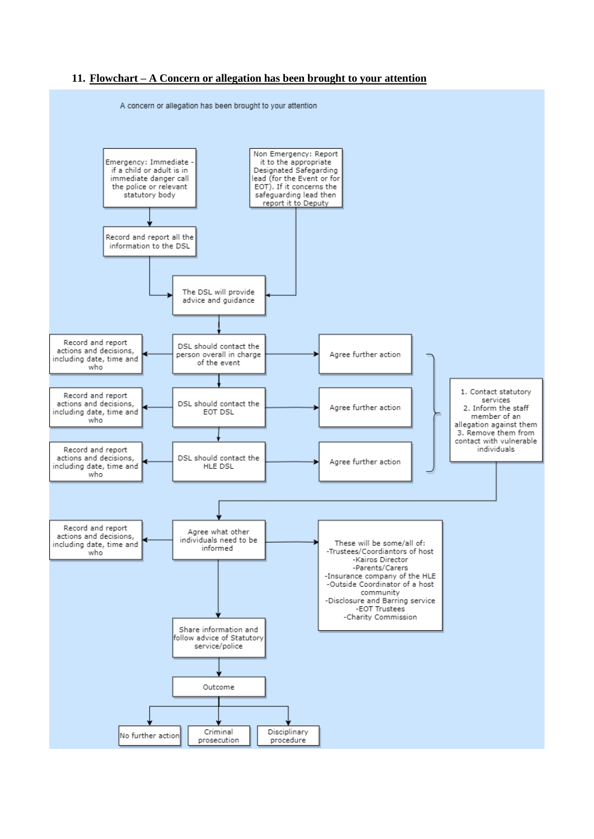#### <span id="page-11-0"></span>**11. Flowchart – A Concern or allegation has been brought to your attention**



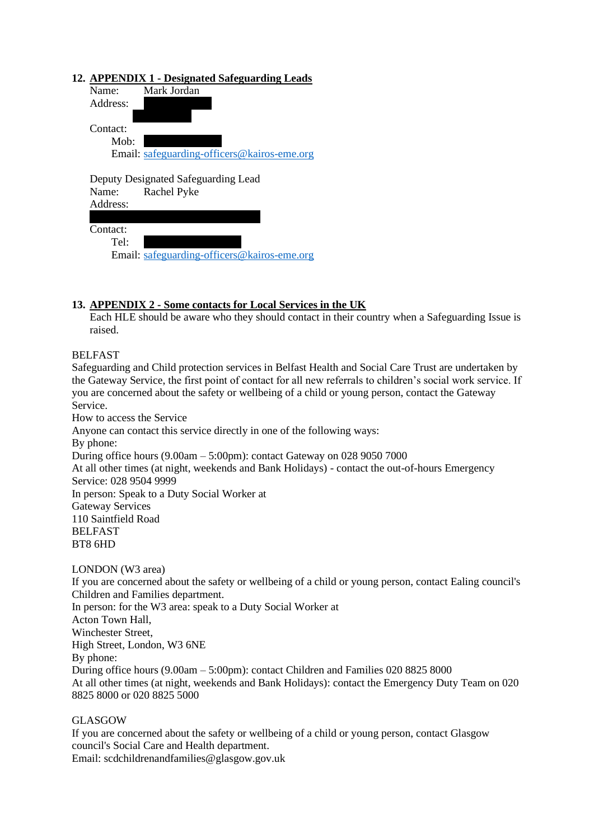## <span id="page-12-0"></span>**12. APPENDIX 1 - Designated Safeguarding Leads**

| Name:    | Mark Jordan                                 |
|----------|---------------------------------------------|
| Address: |                                             |
|          |                                             |
| Contact: |                                             |
| Mob:     |                                             |
|          | Email: safeguarding-officers@kairos-eme.org |

Deputy Designated Safeguarding Lead Name: Rachel Pyke

| Address: |  |
|----------|--|
|          |  |
| Contact: |  |

 $Tel:$ 

Email: [safeguarding-officers@kairos-eme.org](mailto:safeguarding-officers@kairos-eme.org)

## <span id="page-12-1"></span>**13. APPENDIX 2 - Some contacts for Local Services in the UK**

Each HLE should be aware who they should contact in their country when a Safeguarding Issue is raised.

## BELFAST

Safeguarding and Child protection services in Belfast Health and Social Care Trust are undertaken by the Gateway Service, the first point of contact for all new referrals to children's social work service. If you are concerned about the safety or wellbeing of a child or young person, contact the Gateway Service.

How to access the Service Anyone can contact this service directly in one of the following ways: By phone: During office hours (9.00am – 5:00pm): contact Gateway on 028 9050 7000 At all other times (at night, weekends and Bank Holidays) - contact the out-of-hours Emergency Service: 028 9504 9999 In person: Speak to a Duty Social Worker at Gateway Services 110 Saintfield Road BELFAST BT8 6HD

#### LONDON (W3 area)

If you are concerned about the safety or wellbeing of a child or young person, contact Ealing council's Children and Families department.

In person: for the W3 area: speak to a Duty Social Worker at Acton Town Hall, Winchester Street, High Street, London, W3 6NE By phone: During office hours (9.00am – 5:00pm): contact Children and Families 020 8825 8000 At all other times (at night, weekends and Bank Holidays): contact the Emergency Duty Team on 020 8825 8000 or 020 8825 5000

#### GLASGOW

If you are concerned about the safety or wellbeing of a child or young person, contact Glasgow council's Social Care and Health department. Email: scdchildrenandfamilies@glasgow.gov.uk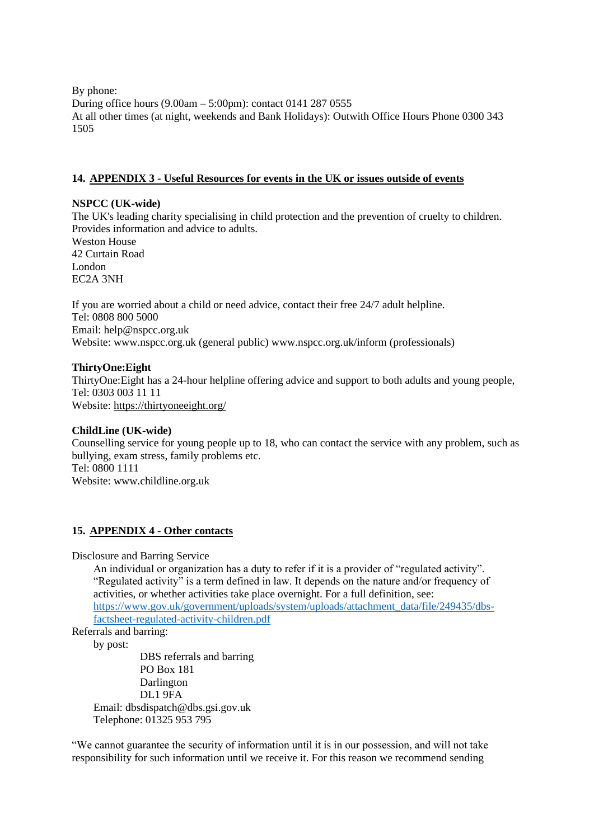By phone: During office hours (9.00am – 5:00pm): contact 0141 287 0555 At all other times (at night, weekends and Bank Holidays): Outwith Office Hours Phone 0300 343 1505

## <span id="page-13-0"></span>**14. APPENDIX 3 - Useful Resources for events in the UK or issues outside of events**

#### **NSPCC (UK-wide)**

The UK's leading charity specialising in child protection and the prevention of cruelty to children. Provides information and advice to adults.

Weston House 42 Curtain Road London EC2A 3NH

If you are worried about a child or need advice, contact their free 24/7 adult helpline. Tel: 0808 800 5000 Email: help@nspcc.org.uk Website: www.nspcc.org.uk (general public) www.nspcc.org.uk/inform (professionals)

## **ThirtyOne:Eight**

ThirtyOne:Eight has a 24-hour helpline offering advice and support to both adults and young people, Tel: [0303 003 11 11](tel:03030031111) Website:<https://thirtyoneeight.org/>

#### **ChildLine (UK-wide)**

Counselling service for young people up to 18, who can contact the service with any problem, such as bullying, exam stress, family problems etc. Tel: 0800 1111 Website: www.childline.org.uk

# <span id="page-13-1"></span>**15. APPENDIX 4 - Other contacts**

Disclosure and Barring Service

An individual or organization has a duty to refer if it is a provider of "regulated activity". "Regulated activity" is a term defined in law. It depends on the nature and/or frequency of activities, or whether activities take place overnight. For a full definition, see: [https://www.gov.uk/government/uploads/system/uploads/attachment\\_data/file/249435/dbs](https://www.gov.uk/government/uploads/system/uploads/attachment_data/file/249435/dbs-factsheet-regulated-activity-children.pdf)[factsheet-regulated-activity-children.pdf](https://www.gov.uk/government/uploads/system/uploads/attachment_data/file/249435/dbs-factsheet-regulated-activity-children.pdf)

Referrals and barring:

by post:

DBS referrals and barring PO Box 181 Darlington DL1 9FA Email: dbsdispatch@dbs.gsi.gov.uk Telephone: 01325 953 795

"We cannot guarantee the security of information until it is in our possession, and will not take responsibility for such information until we receive it. For this reason we recommend sending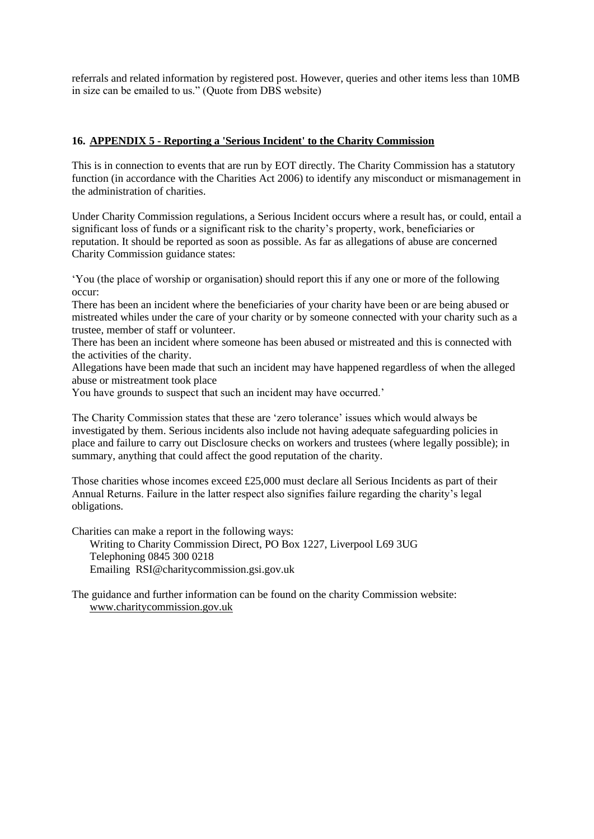referrals and related information by registered post. However, queries and other items less than 10MB in size can be emailed to us." (Quote from DBS website)

#### <span id="page-14-0"></span>**16. APPENDIX 5 - Reporting a 'Serious Incident' to the Charity Commission**

This is in connection to events that are run by EOT directly. The Charity Commission has a statutory function (in accordance with the Charities Act 2006) to identify any misconduct or mismanagement in the administration of charities.

Under Charity Commission regulations, a Serious Incident occurs where a result has, or could, entail a significant loss of funds or a significant risk to the charity's property, work, beneficiaries or reputation. It should be reported as soon as possible. As far as allegations of abuse are concerned Charity Commission guidance states:

'You (the place of worship or organisation) should report this if any one or more of the following occur:

There has been an incident where the beneficiaries of your charity have been or are being abused or mistreated whiles under the care of your charity or by someone connected with your charity such as a trustee, member of staff or volunteer.

There has been an incident where someone has been abused or mistreated and this is connected with the activities of the charity.

Allegations have been made that such an incident may have happened regardless of when the alleged abuse or mistreatment took place

You have grounds to suspect that such an incident may have occurred.'

The Charity Commission states that these are 'zero tolerance' issues which would always be investigated by them. Serious incidents also include not having adequate safeguarding policies in place and failure to carry out Disclosure checks on workers and trustees (where legally possible); in summary, anything that could affect the good reputation of the charity.

Those charities whose incomes exceed £25,000 must declare all Serious Incidents as part of their Annual Returns. Failure in the latter respect also signifies failure regarding the charity's legal obligations.

Charities can make a report in the following ways:

Writing to Charity Commission Direct, PO Box 1227, Liverpool L69 3UG Telephoning 0845 300 0218 Emailing RSI@charitycommission.gsi.gov.uk

The guidance and further information can be found on the charity Commission website: [www.charitycommission.gov.uk](http://www.charitycommission.gov.uk/)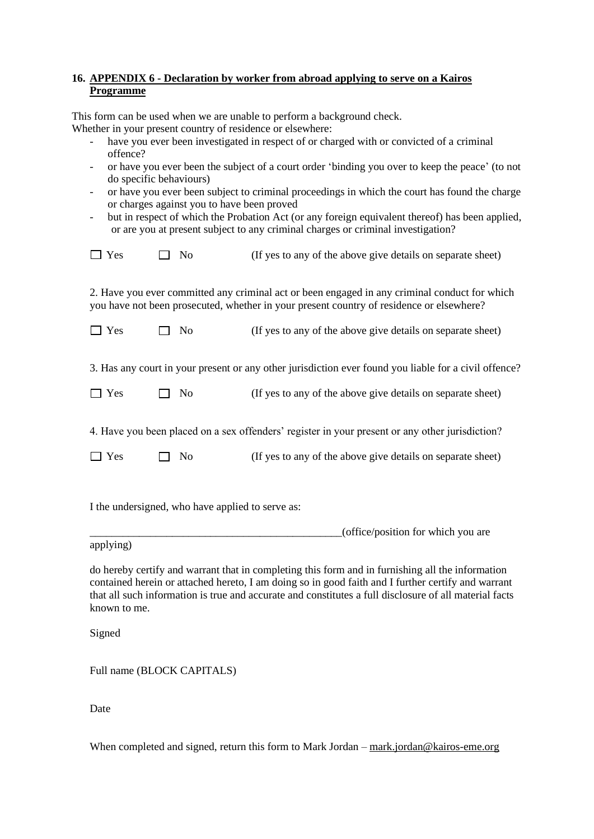## <span id="page-15-0"></span>**16. APPENDIX 6 - Declaration by worker from abroad applying to serve on a Kairos Programme**

This form can be used when we are unable to perform a background check. Whether in your present country of residence or elsewhere:

- have you ever been investigated in respect of or charged with or convicted of a criminal offence?
- or have you ever been the subject of a court order 'binding you over to keep the peace' (to not do specific behaviours)
- or have you ever been subject to criminal proceedings in which the court has found the charge or charges against you to have been proved
- but in respect of which the Probation Act (or any foreign equivalent thereof) has been applied, or are you at present subject to any criminal charges or criminal investigation?

| $\Box$ Yes | $\Box$ No |  | (If yes to any of the above give details on separate sheet) |
|------------|-----------|--|-------------------------------------------------------------|
|------------|-----------|--|-------------------------------------------------------------|

2. Have you ever committed any criminal act or been engaged in any criminal conduct for which you have not been prosecuted, whether in your present country of residence or elsewhere?

| $\Box$ Yes | $\Box$ No | (If yes to any of the above give details on separate sheet) |
|------------|-----------|-------------------------------------------------------------|
|            |           |                                                             |

3. Has any court in your present or any other jurisdiction ever found you liable for a civil offence?

| $\Box$ Yes | $\Box$ No | (If yes to any of the above give details on separate sheet) |  |  |
|------------|-----------|-------------------------------------------------------------|--|--|
|------------|-----------|-------------------------------------------------------------|--|--|

4. Have you been placed on a sex offenders' register in your present or any other jurisdiction?

| $\Box$ Yes | $\Box$ No | (If yes to any of the above give details on separate sheet) |
|------------|-----------|-------------------------------------------------------------|
|            |           |                                                             |

I the undersigned, who have applied to serve as:

 $|$  (office/position for which you are

applying)

do hereby certify and warrant that in completing this form and in furnishing all the information contained herein or attached hereto, I am doing so in good faith and I further certify and warrant that all such information is true and accurate and constitutes a full disclosure of all material facts known to me.

Signed

Full name (BLOCK CAPITALS)

Date

When completed and signed, return this form to Mark Jordan – [mark.jordan@kairos-eme.org](mailto:mark.jordan@kairos-eme.org)